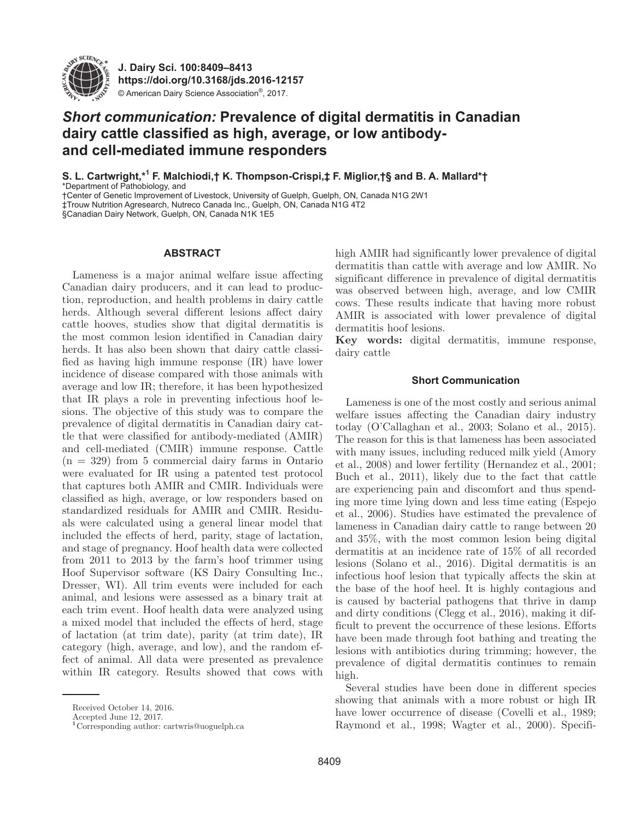

**J. Dairy Sci. 100:8409–8413 https://doi.org/10.3168/jds.2016-12157** © American Dairy Science Association®, 2017.

# *Short communication:* **Prevalence of digital dermatitis in Canadian dairy cattle classified as high, average, or low antibodyand cell-mediated immune responders**

**S. L. Cartwright,\*1 F. Malchiodi,† K. Thompson-Crispi,‡ F. Miglior,†§ and B. A. Mallard\*†**

\*Department of Pathobiology, and

†Center of Genetic Improvement of Livestock, University of Guelph, Guelph, ON, Canada N1G 2W1 ‡Trouw Nutrition Agresearch, Nutreco Canada Inc., Guelph, ON, Canada N1G 4T2 §Canadian Dairy Network, Guelph, ON, Canada N1K 1E5

#### **ABSTRACT**

Lameness is a major animal welfare issue affecting Canadian dairy producers, and it can lead to production, reproduction, and health problems in dairy cattle herds. Although several different lesions affect dairy cattle hooves, studies show that digital dermatitis is the most common lesion identified in Canadian dairy herds. It has also been shown that dairy cattle classified as having high immune response (IR) have lower incidence of disease compared with those animals with average and low IR; therefore, it has been hypothesized that IR plays a role in preventing infectious hoof lesions. The objective of this study was to compare the prevalence of digital dermatitis in Canadian dairy cattle that were classified for antibody-mediated (AMIR) and cell-mediated (CMIR) immune response. Cattle  $(n = 329)$  from 5 commercial dairy farms in Ontario were evaluated for IR using a patented test protocol that captures both AMIR and CMIR. Individuals were classified as high, average, or low responders based on standardized residuals for AMIR and CMIR. Residuals were calculated using a general linear model that included the effects of herd, parity, stage of lactation, and stage of pregnancy. Hoof health data were collected from 2011 to 2013 by the farm's hoof trimmer using Hoof Supervisor software (KS Dairy Consulting Inc., Dresser, WI). All trim events were included for each animal, and lesions were assessed as a binary trait at each trim event. Hoof health data were analyzed using a mixed model that included the effects of herd, stage of lactation (at trim date), parity (at trim date), IR category (high, average, and low), and the random effect of animal. All data were presented as prevalence within IR category. Results showed that cows with high AMIR had significantly lower prevalence of digital dermatitis than cattle with average and low AMIR. No significant difference in prevalence of digital dermatitis was observed between high, average, and low CMIR cows. These results indicate that having more robust AMIR is associated with lower prevalence of digital dermatitis hoof lesions.

**Key words:** digital dermatitis, immune response, dairy cattle

### **Short Communication**

Lameness is one of the most costly and serious animal welfare issues affecting the Canadian dairy industry today (O'Callaghan et al., 2003; Solano et al., 2015). The reason for this is that lameness has been associated with many issues, including reduced milk yield (Amory et al., 2008) and lower fertility (Hernandez et al., 2001; Buch et al., 2011), likely due to the fact that cattle are experiencing pain and discomfort and thus spending more time lying down and less time eating (Espejo et al., 2006). Studies have estimated the prevalence of lameness in Canadian dairy cattle to range between 20 and 35%, with the most common lesion being digital dermatitis at an incidence rate of 15% of all recorded lesions (Solano et al., 2016). Digital dermatitis is an infectious hoof lesion that typically affects the skin at the base of the hoof heel. It is highly contagious and is caused by bacterial pathogens that thrive in damp and dirty conditions (Clegg et al., 2016), making it difficult to prevent the occurrence of these lesions. Efforts have been made through foot bathing and treating the lesions with antibiotics during trimming; however, the prevalence of digital dermatitis continues to remain high.

Several studies have been done in different species showing that animals with a more robust or high IR have lower occurrence of disease (Covelli et al., 1989; Raymond et al., 1998; Wagter et al., 2000). Specifi-

Received October 14, 2016.

Accepted June 12, 2017. **<sup>1</sup>**Corresponding author: cartwris@uoguelph.ca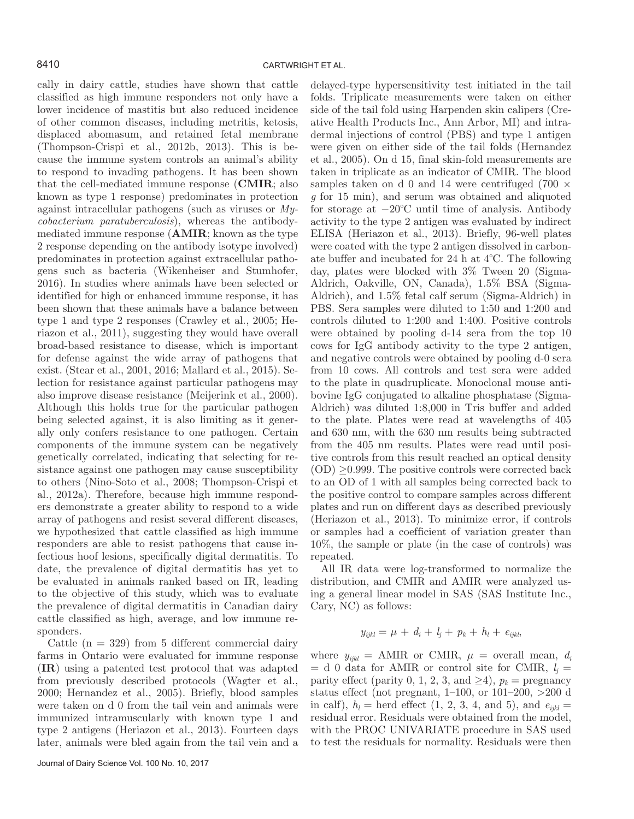cally in dairy cattle, studies have shown that cattle classified as high immune responders not only have a lower incidence of mastitis but also reduced incidence of other common diseases, including metritis, ketosis, displaced abomasum, and retained fetal membrane (Thompson-Crispi et al., 2012b, 2013). This is because the immune system controls an animal's ability to respond to invading pathogens. It has been shown that the cell-mediated immune response (**CMIR**; also known as type 1 response) predominates in protection against intracellular pathogens (such as viruses or *Mycobacterium paratuberculosis*), whereas the antibodymediated immune response (**AMIR**; known as the type 2 response depending on the antibody isotype involved) predominates in protection against extracellular pathogens such as bacteria (Wikenheiser and Stumhofer, 2016). In studies where animals have been selected or identified for high or enhanced immune response, it has been shown that these animals have a balance between type 1 and type 2 responses (Crawley et al., 2005; Heriazon et al., 2011), suggesting they would have overall broad-based resistance to disease, which is important for defense against the wide array of pathogens that exist. (Stear et al., 2001, 2016; Mallard et al., 2015). Selection for resistance against particular pathogens may also improve disease resistance (Meijerink et al., 2000). Although this holds true for the particular pathogen being selected against, it is also limiting as it generally only confers resistance to one pathogen. Certain components of the immune system can be negatively genetically correlated, indicating that selecting for resistance against one pathogen may cause susceptibility to others (Nino-Soto et al., 2008; Thompson-Crispi et al., 2012a). Therefore, because high immune responders demonstrate a greater ability to respond to a wide array of pathogens and resist several different diseases, we hypothesized that cattle classified as high immune responders are able to resist pathogens that cause infectious hoof lesions, specifically digital dermatitis. To date, the prevalence of digital dermatitis has yet to be evaluated in animals ranked based on IR, leading to the objective of this study, which was to evaluate the prevalence of digital dermatitis in Canadian dairy cattle classified as high, average, and low immune responders.

Cattle  $(n = 329)$  from 5 different commercial dairy farms in Ontario were evaluated for immune response (**IR**) using a patented test protocol that was adapted from previously described protocols (Wagter et al., 2000; Hernandez et al., 2005). Briefly, blood samples were taken on d 0 from the tail vein and animals were immunized intramuscularly with known type 1 and type 2 antigens (Heriazon et al., 2013). Fourteen days later, animals were bled again from the tail vein and a delayed-type hypersensitivity test initiated in the tail folds. Triplicate measurements were taken on either side of the tail fold using Harpenden skin calipers (Creative Health Products Inc., Ann Arbor, MI) and intradermal injections of control (PBS) and type 1 antigen were given on either side of the tail folds (Hernandez et al., 2005). On d 15, final skin-fold measurements are taken in triplicate as an indicator of CMIR. The blood samples taken on d 0 and 14 were centrifuged (700  $\times$ *g* for 15 min), and serum was obtained and aliquoted for storage at −20°C until time of analysis. Antibody activity to the type 2 antigen was evaluated by indirect ELISA (Heriazon et al., 2013). Briefly, 96-well plates were coated with the type 2 antigen dissolved in carbonate buffer and incubated for 24 h at 4°C. The following day, plates were blocked with 3% Tween 20 (Sigma-Aldrich, Oakville, ON, Canada), 1.5% BSA (Sigma-Aldrich), and 1.5% fetal calf serum (Sigma-Aldrich) in PBS. Sera samples were diluted to 1:50 and 1:200 and controls diluted to 1:200 and 1:400. Positive controls were obtained by pooling d-14 sera from the top 10 cows for IgG antibody activity to the type 2 antigen, and negative controls were obtained by pooling d-0 sera from 10 cows. All controls and test sera were added to the plate in quadruplicate. Monoclonal mouse antibovine IgG conjugated to alkaline phosphatase (Sigma-Aldrich) was diluted 1:8,000 in Tris buffer and added to the plate. Plates were read at wavelengths of 405 and 630 nm, with the 630 nm results being subtracted from the 405 nm results. Plates were read until positive controls from this result reached an optical density (OD) ≥0.999. The positive controls were corrected back to an OD of 1 with all samples being corrected back to the positive control to compare samples across different plates and run on different days as described previously (Heriazon et al., 2013). To minimize error, if controls or samples had a coefficient of variation greater than 10%, the sample or plate (in the case of controls) was repeated.

All IR data were log-transformed to normalize the distribution, and CMIR and AMIR were analyzed using a general linear model in SAS (SAS Institute Inc., Cary, NC) as follows:

$$
y_{ijkl} = \mu + d_i + l_j + p_k + h_l + e_{ijkl},
$$

where  $y_{ijkl}$  = AMIR or CMIR,  $\mu$  = overall mean,  $d_i$  $=$  d 0 data for AMIR or control site for CMIR,  $l_i =$ parity effect (parity 0, 1, 2, 3, and  $\geq 4$ ),  $p_k$  = pregnancy status effect (not pregnant,  $1\n-100$ , or  $101\n-200$ ,  $>200$  d in calf),  $h_l = \text{herd effect } (1, 2, 3, 4, \text{ and } 5)$ , and  $e_{ijkl} =$ residual error. Residuals were obtained from the model, with the PROC UNIVARIATE procedure in SAS used to test the residuals for normality. Residuals were then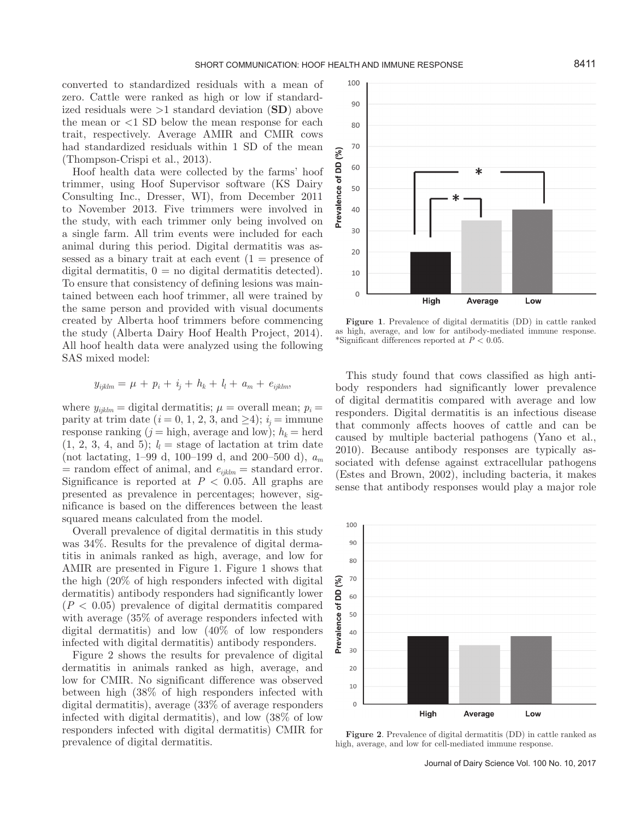converted to standardized residuals with a mean of zero. Cattle were ranked as high or low if standardized residuals were >1 standard deviation (**SD**) above the mean or <1 SD below the mean response for each trait, respectively. Average AMIR and CMIR cows had standardized residuals within 1 SD of the mean (Thompson-Crispi et al., 2013).

Hoof health data were collected by the farms' hoof trimmer, using Hoof Supervisor software (KS Dairy Consulting Inc., Dresser, WI), from December 2011 to November 2013. Five trimmers were involved in the study, with each trimmer only being involved on a single farm. All trim events were included for each animal during this period. Digital dermatitis was assessed as a binary trait at each event  $(1 =$  presence of digital dermatitis,  $0 =$  no digital dermatitis detected). To ensure that consistency of defining lesions was maintained between each hoof trimmer, all were trained by the same person and provided with visual documents created by Alberta hoof trimmers before commencing the study (Alberta Dairy Hoof Health Project, 2014). All hoof health data were analyzed using the following SAS mixed model:

$$
y_{ijklm} = \mu + p_i + i_j + h_k + l_l + a_m + e_{ijklm},
$$

where  $y_{iiklm}$  = digital dermatitis;  $\mu$  = overall mean;  $p_i$  = parity at trim date ( $i = 0, 1, 2, 3$ , and  $\geq 4$ );  $i_j = \text{immune}$ response ranking  $(j = \text{high}, \text{average and low}); h_k = \text{herd}$  $(1, 2, 3, 4, \text{ and } 5);$   $l_l = \text{stage of lactation at trim date}$ (not lactating, 1–99 d, 100–199 d, and 200–500 d), *am*  $=$  random effect of animal, and  $e_{ijklm}$  = standard error. Significance is reported at  $P < 0.05$ . All graphs are presented as prevalence in percentages; however, significance is based on the differences between the least squared means calculated from the model.

Overall prevalence of digital dermatitis in this study was 34%. Results for the prevalence of digital dermatitis in animals ranked as high, average, and low for AMIR are presented in Figure 1. Figure 1 shows that the high (20% of high responders infected with digital dermatitis) antibody responders had significantly lower  $(P < 0.05)$  prevalence of digital dermatitis compared with average (35% of average responders infected with digital dermatitis) and low (40% of low responders infected with digital dermatitis) antibody responders.

Figure 2 shows the results for prevalence of digital dermatitis in animals ranked as high, average, and low for CMIR. No significant difference was observed between high (38% of high responders infected with digital dermatitis), average (33% of average responders infected with digital dermatitis), and low (38% of low responders infected with digital dermatitis) CMIR for prevalence of digital dermatitis.



**Figure 1**. Prevalence of digital dermatitis (DD) in cattle ranked as high, average, and low for antibody-mediated immune response. \*Significant differences reported at *P* < 0.05.

This study found that cows classified as high antibody responders had significantly lower prevalence of digital dermatitis compared with average and low responders. Digital dermatitis is an infectious disease that commonly affects hooves of cattle and can be caused by multiple bacterial pathogens (Yano et al., 2010). Because antibody responses are typically associated with defense against extracellular pathogens (Estes and Brown, 2002), including bacteria, it makes sense that antibody responses would play a major role



**Figure 2**. Prevalence of digital dermatitis (DD) in cattle ranked as high, average, and low for cell-mediated immune response.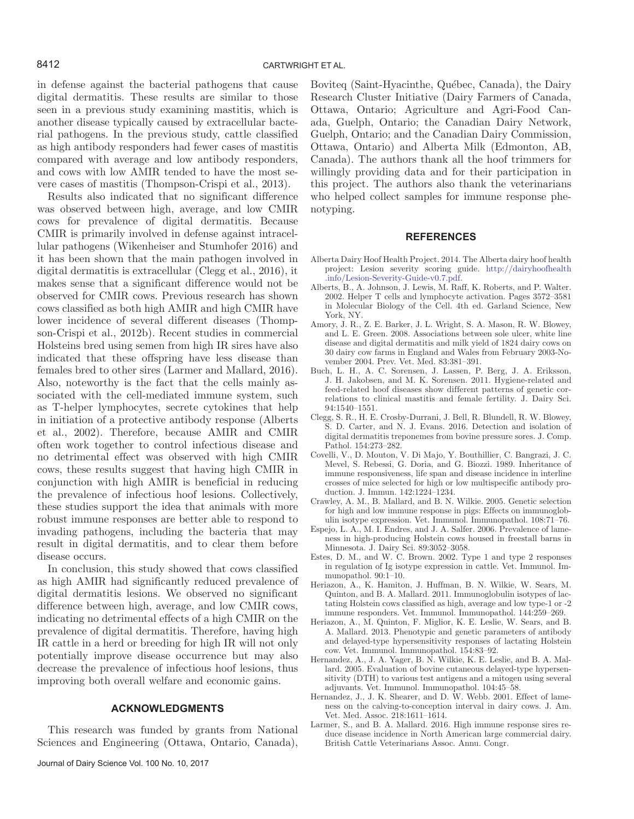in defense against the bacterial pathogens that cause digital dermatitis. These results are similar to those seen in a previous study examining mastitis, which is another disease typically caused by extracellular bacterial pathogens. In the previous study, cattle classified as high antibody responders had fewer cases of mastitis compared with average and low antibody responders, and cows with low AMIR tended to have the most severe cases of mastitis (Thompson-Crispi et al., 2013).

Results also indicated that no significant difference was observed between high, average, and low CMIR cows for prevalence of digital dermatitis. Because CMIR is primarily involved in defense against intracellular pathogens (Wikenheiser and Stumhofer 2016) and it has been shown that the main pathogen involved in digital dermatitis is extracellular (Clegg et al., 2016), it makes sense that a significant difference would not be observed for CMIR cows. Previous research has shown cows classified as both high AMIR and high CMIR have lower incidence of several different diseases (Thompson-Crispi et al., 2012b). Recent studies in commercial Holsteins bred using semen from high IR sires have also indicated that these offspring have less disease than females bred to other sires (Larmer and Mallard, 2016). Also, noteworthy is the fact that the cells mainly associated with the cell-mediated immune system, such as T-helper lymphocytes, secrete cytokines that help in initiation of a protective antibody response (Alberts et al., 2002). Therefore, because AMIR and CMIR often work together to control infectious disease and no detrimental effect was observed with high CMIR cows, these results suggest that having high CMIR in conjunction with high AMIR is beneficial in reducing the prevalence of infectious hoof lesions. Collectively, these studies support the idea that animals with more robust immune responses are better able to respond to invading pathogens, including the bacteria that may result in digital dermatitis, and to clear them before disease occurs.

In conclusion, this study showed that cows classified as high AMIR had significantly reduced prevalence of digital dermatitis lesions. We observed no significant difference between high, average, and low CMIR cows, indicating no detrimental effects of a high CMIR on the prevalence of digital dermatitis. Therefore, having high IR cattle in a herd or breeding for high IR will not only potentially improve disease occurrence but may also decrease the prevalence of infectious hoof lesions, thus improving both overall welfare and economic gains.

## **ACKNOWLEDGMENTS**

This research was funded by grants from National Sciences and Engineering (Ottawa, Ontario, Canada),

Journal of Dairy Science Vol. 100 No. 10, 2017

Boviteq (Saint-Hyacinthe, Québec, Canada), the Dairy Research Cluster Initiative (Dairy Farmers of Canada, Ottawa, Ontario; Agriculture and Agri-Food Canada, Guelph, Ontario; the Canadian Dairy Network, Guelph, Ontario; and the Canadian Dairy Commission, Ottawa, Ontario) and Alberta Milk (Edmonton, AB, Canada). The authors thank all the hoof trimmers for willingly providing data and for their participation in this project. The authors also thank the veterinarians who helped collect samples for immune response phenotyping.

#### **REFERENCES**

- Alberta Dairy Hoof Health Project. 2014. The Alberta dairy hoof health project: Lesion severity scoring guide. [http://dairyhoofhealth](http://dairyhoofhealth.info/Lesion-Severity-Guide-v0.7.pdf) [.info/Lesion-Severity-Guide-v0.7.pdf.](http://dairyhoofhealth.info/Lesion-Severity-Guide-v0.7.pdf)
- Alberts, B., A. Johnson, J. Lewis, M. Raff, K. Roberts, and P. Walter. 2002. Helper T cells and lymphocyte activation. Pages 3572–3581 in Molecular Biology of the Cell. 4th ed. Garland Science, New York, NY.
- Amory, J. R., Z. E. Barker, J. L. Wright, S. A. Mason, R. W. Blowey, and L. E. Green. 2008. Associations between sole ulcer, white line disease and digital dermatitis and milk yield of 1824 dairy cows on 30 dairy cow farms in England and Wales from February 2003-November 2004. Prev. Vet. Med. 83:381–391.
- Buch, L. H., A. C. Sorensen, J. Lassen, P. Berg, J. A. Eriksson, J. H. Jakobsen, and M. K. Sorensen. 2011. Hygiene-related and feed-related hoof diseases show different patterns of genetic correlations to clinical mastitis and female fertility. J. Dairy Sci. 94:1540–1551.
- Clegg, S. R., H. E. Crosby-Durrani, J. Bell, R. Blundell, R. W. Blowey, S. D. Carter, and N. J. Evans. 2016. Detection and isolation of digital dermatitis treponemes from bovine pressure sores. J. Comp. Pathol. 154:273–282.
- Covelli, V., D. Mouton, V. Di Majo, Y. Bouthillier, C. Bangrazi, J. C. Mevel, S. Rebessi, G. Doria, and G. Biozzi. 1989. Inheritance of immune responsiveness, life span and disease incidence in interline crosses of mice selected for high or low multispecific antibody production. J. Immun. 142:1224–1234.
- Crawley, A. M., B. Mallard, and B. N. Wilkie. 2005. Genetic selection for high and low immune response in pigs: Effects on immunoglobulin isotype expression. Vet. Immunol. Immunopathol. 108:71–76.
- Espejo, L. A., M. I. Endres, and J. A. Salfer. 2006. Prevalence of lameness in high-producing Holstein cows housed in freestall barns in Minnesota. J. Dairy Sci. 89:3052–3058.
- Estes, D. M., and W. C. Brown. 2002. Type 1 and type 2 responses in regulation of Ig isotype expression in cattle. Vet. Immunol. Immunopathol. 90:1–10.
- Heriazon, A., K. Hamiton, J. Huffman, B. N. Wilkie, W. Sears, M. Quinton, and B. A. Mallard. 2011. Immunoglobulin isotypes of lactating Holstein cows classified as high, average and low type-1 or -2 immune responders. Vet. Immunol. Immunopathol. 144:259–269.
- Heriazon, A., M. Quinton, F. Miglior, K. E. Leslie, W. Sears, and B. A. Mallard. 2013. Phenotypic and genetic parameters of antibody and delayed-type hypersensitivity responses of lactating Holstein cow. Vet. Immunol. Immunopathol. 154:83–92.
- Hernandez, A., J. A. Yager, B. N. Wilkie, K. E. Leslie, and B. A. Mallard. 2005. Evaluation of bovine cutaneous delayed-type hypersensitivity (DTH) to various test antigens and a mitogen using several adjuvants. Vet. Immunol. Immunopathol. 104:45–58.
- Hernandez, J., J. K. Shearer, and D. W. Webb. 2001. Effect of lameness on the calving-to-conception interval in dairy cows. J. Am. Vet. Med. Assoc. 218:1611–1614.
- Larmer, S., and B. A. Mallard. 2016. High immune response sires reduce disease incidence in North American large commercial dairy. British Cattle Veterinarians Assoc. Annu. Congr.